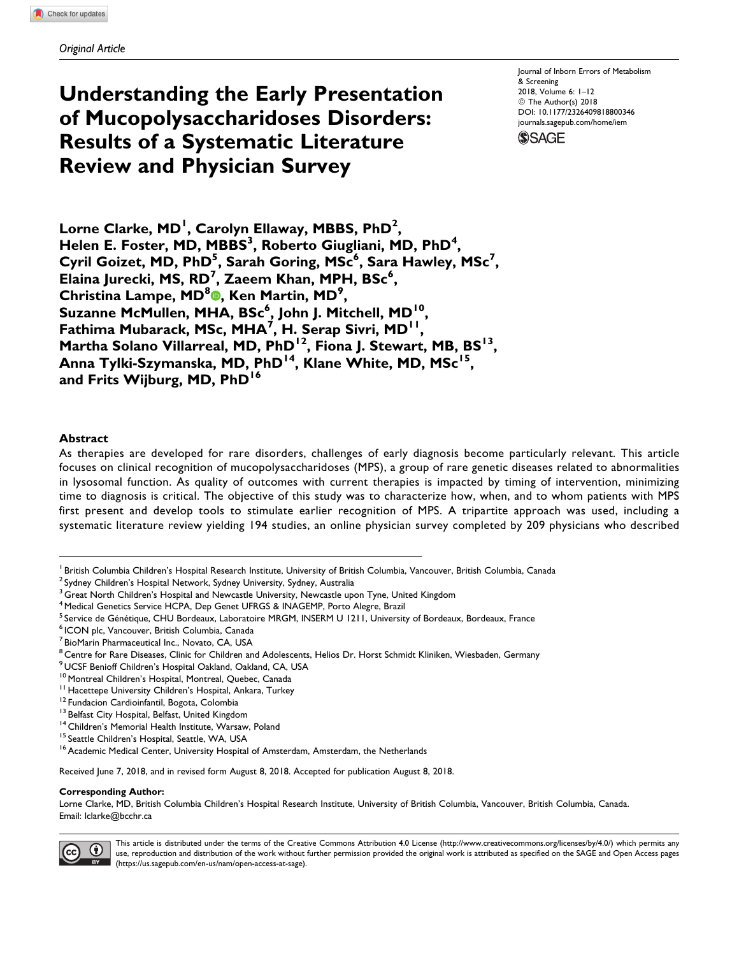# Understanding the Early Presentation of Mucopolysaccharidoses Disorders: Results of a Systematic Literature Review and Physician Survey

Journal of Inborn Errors of Metabolism & Screening 2018, Volume 6: 1–12 © The Author(s) 2018 [DOI: 10.1177/2326409818800346](https://doi.org/10.1177/2326409818800346) [journals.sagepub.com/home/iem](http://journals.sagepub.com/home/iem)



Lorne Clarke, MD<sup>I</sup>, Carolyn Ellaway, MBBS, PhD<sup>2</sup>, Helen E. Foster, MD, MBBS<sup>3</sup>, Roberto Giugliani, MD, PhD<sup>4</sup>, Cyril Goizet, MD, PhD<sup>5</sup>, Sarah Goring, MSc<sup>6</sup>, Sara Hawley, MSc<sup>7</sup>, Elaina Jurecki, MS, RD<sup>7</sup>, Zaeem Khan, MPH, BSc<sup>6</sup>, Christina Lampe[,](http://orcid.org/0000-0003-4953-7119) MD<sup>8</sup>®, Ken Martin, MD<sup>9</sup>, Suzanne McMullen, MHA, BSc<sup>6</sup>, John J. Mitchell, MD<sup>10</sup>, Fathima Mubarack, MSc, MHA<sup>7</sup>, H. Serap Sivri, MD<sup>11</sup>, Martha Solano Villarreal, MD, PhD<sup>12</sup>, Fiona J. Stewart, MB, BS<sup>13</sup>, Anna Tylki-Szymanska, MD, PhD<sup>14</sup>, Klane White, MD, MSc<sup>15</sup>, and Frits Wijburg, MD, PhD<sup>16</sup>

# Abstract

As therapies are developed for rare disorders, challenges of early diagnosis become particularly relevant. This article focuses on clinical recognition of mucopolysaccharidoses (MPS), a group of rare genetic diseases related to abnormalities in lysosomal function. As quality of outcomes with current therapies is impacted by timing of intervention, minimizing time to diagnosis is critical. The objective of this study was to characterize how, when, and to whom patients with MPS first present and develop tools to stimulate earlier recognition of MPS. A tripartite approach was used, including a systematic literature review yielding 194 studies, an online physician survey completed by 209 physicians who described

Received June 7, 2018, and in revised form August 8, 2018. Accepted for publication August 8, 2018.

#### Corresponding Author:

Lorne Clarke, MD, British Columbia Children's Hospital Research Institute, University of British Columbia, Vancouver, British Columbia, Canada. Email: [lclarke@bcchr.ca](mailto:lclarke@bcchr.ca)



This article is distributed under the terms of the Creative Commons Attribution 4.0 License (<http://www.creativecommons.org/licenses/by/4.0/>) which permits any use, reproduction and distribution of the work without further permission provided the original work is attributed as specified on the SAGE and Open Access pages [\(https://us.sagepub.com/en-us/nam/open-access-at-sage\)](https://us.sagepub.com/en-us/nam/open-access-at-sage).

<sup>&</sup>lt;sup>1</sup> British Columbia Children's Hospital Research Institute, University of British Columbia, Vancouver, British Columbia, Canada

<sup>&</sup>lt;sup>2</sup> Sydney Children's Hospital Network, Sydney University, Sydney, Australia

 $3$  Great North Children's Hospital and Newcastle University, Newcastle upon Tyne, United Kingdom

<sup>&</sup>lt;sup>4</sup> Medical Genetics Service HCPA, Dep Genet UFRGS & INAGEMP, Porto Alegre, Brazil

<sup>&</sup>lt;sup>5</sup> Service de Génétique, CHU Bordeaux, Laboratoire MRGM, INSERM U 1211, University of Bordeaux, Bordeaux, France<br><sup>6</sup> ICON plc, Vancouver, British Columbia, Canada

<sup>7</sup> BioMarin Pharmaceutical Inc., Novato, CA, USA

<sup>&</sup>lt;sup>8</sup> Centre for Rare Diseases, Clinic for Children and Adolescents, Helios Dr. Horst Schmidt Kliniken, Wiesbaden, Germany

<sup>&</sup>lt;sup>9</sup> UCSF Benioff Children's Hospital Oakland, Oakland, CA, USA<br><sup>10</sup> Montreal Children's Hospital, Montreal, Quebec, Canada

<sup>&</sup>lt;sup>11</sup> Hacettepe University Children's Hospital, Ankara, Turkey<br><sup>12</sup> Fundacion Cardioinfantil, Bogota, Colombia<br><sup>13</sup> Belfast City Hospital, Belfast, United Kingdom<br><sup>14</sup> Children's Memorial Health Institute, Warsaw, Poland<br><sup>1</sup>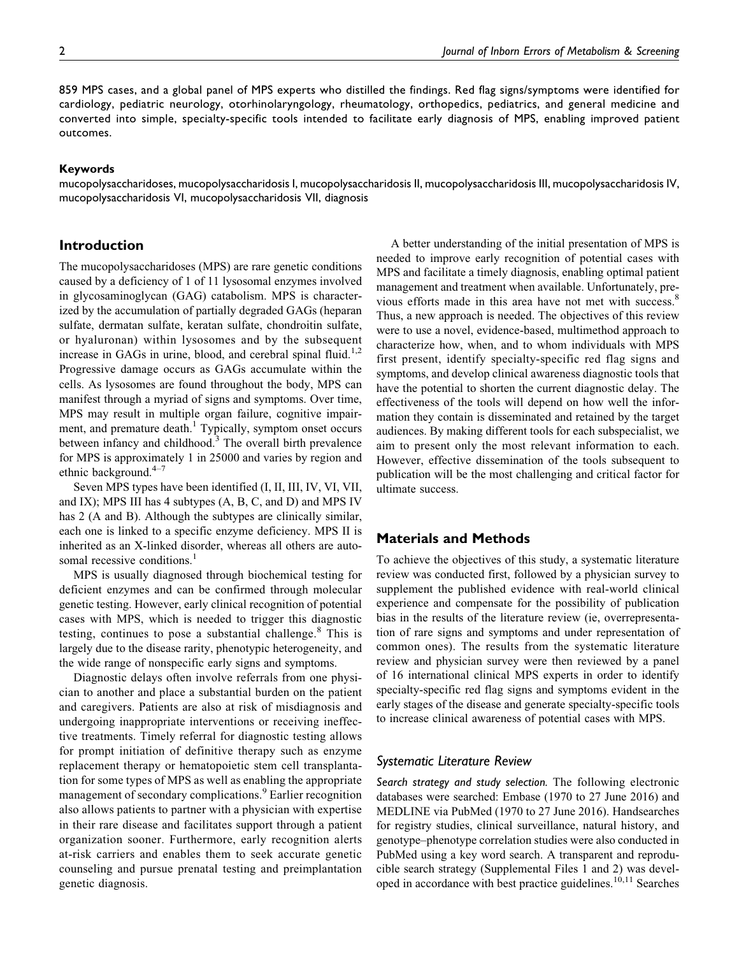859 MPS cases, and a global panel of MPS experts who distilled the findings. Red flag signs/symptoms were identified for cardiology, pediatric neurology, otorhinolaryngology, rheumatology, orthopedics, pediatrics, and general medicine and converted into simple, specialty-specific tools intended to facilitate early diagnosis of MPS, enabling improved patient outcomes.

#### Keywords

mucopolysaccharidoses, mucopolysaccharidosis I, mucopolysaccharidosis II, mucopolysaccharidosis III, mucopolysaccharidosis IV, mucopolysaccharidosis VI, mucopolysaccharidosis VII, diagnosis

# Introduction

The mucopolysaccharidoses (MPS) are rare genetic conditions caused by a deficiency of 1 of 11 lysosomal enzymes involved in glycosaminoglycan (GAG) catabolism. MPS is characterized by the accumulation of partially degraded GAGs (heparan sulfate, dermatan sulfate, keratan sulfate, chondroitin sulfate, or hyaluronan) within lysosomes and by the subsequent increase in GAGs in urine, blood, and cerebral spinal fluid.<sup>1,2</sup> Progressive damage occurs as GAGs accumulate within the cells. As lysosomes are found throughout the body, MPS can manifest through a myriad of signs and symptoms. Over time, MPS may result in multiple organ failure, cognitive impairment, and premature death.<sup>1</sup> Typically, symptom onset occurs between infancy and childhood.<sup>3</sup> The overall birth prevalence for MPS is approximately 1 in 25000 and varies by region and ethnic background.4–7

Seven MPS types have been identified (I, II, III, IV, VI, VII, and IX); MPS III has 4 subtypes (A, B, C, and D) and MPS IV has 2 (A and B). Although the subtypes are clinically similar, each one is linked to a specific enzyme deficiency. MPS II is inherited as an X-linked disorder, whereas all others are autosomal recessive conditions.<sup>1</sup>

MPS is usually diagnosed through biochemical testing for deficient enzymes and can be confirmed through molecular genetic testing. However, early clinical recognition of potential cases with MPS, which is needed to trigger this diagnostic testing, continues to pose a substantial challenge.<sup>8</sup> This is largely due to the disease rarity, phenotypic heterogeneity, and the wide range of nonspecific early signs and symptoms.

Diagnostic delays often involve referrals from one physician to another and place a substantial burden on the patient and caregivers. Patients are also at risk of misdiagnosis and undergoing inappropriate interventions or receiving ineffective treatments. Timely referral for diagnostic testing allows for prompt initiation of definitive therapy such as enzyme replacement therapy or hematopoietic stem cell transplantation for some types of MPS as well as enabling the appropriate management of secondary complications.<sup>9</sup> Earlier recognition also allows patients to partner with a physician with expertise in their rare disease and facilitates support through a patient organization sooner. Furthermore, early recognition alerts at-risk carriers and enables them to seek accurate genetic counseling and pursue prenatal testing and preimplantation genetic diagnosis.

A better understanding of the initial presentation of MPS is needed to improve early recognition of potential cases with MPS and facilitate a timely diagnosis, enabling optimal patient management and treatment when available. Unfortunately, previous efforts made in this area have not met with success.<sup>8</sup> Thus, a new approach is needed. The objectives of this review were to use a novel, evidence-based, multimethod approach to characterize how, when, and to whom individuals with MPS first present, identify specialty-specific red flag signs and symptoms, and develop clinical awareness diagnostic tools that have the potential to shorten the current diagnostic delay. The effectiveness of the tools will depend on how well the information they contain is disseminated and retained by the target audiences. By making different tools for each subspecialist, we aim to present only the most relevant information to each. However, effective dissemination of the tools subsequent to publication will be the most challenging and critical factor for ultimate success.

# Materials and Methods

To achieve the objectives of this study, a systematic literature review was conducted first, followed by a physician survey to supplement the published evidence with real-world clinical experience and compensate for the possibility of publication bias in the results of the literature review (ie, overrepresentation of rare signs and symptoms and under representation of common ones). The results from the systematic literature review and physician survey were then reviewed by a panel of 16 international clinical MPS experts in order to identify specialty-specific red flag signs and symptoms evident in the early stages of the disease and generate specialty-specific tools to increase clinical awareness of potential cases with MPS.

#### Systematic Literature Review

Search strategy and study selection. The following electronic databases were searched: Embase (1970 to 27 June 2016) and MEDLINE via PubMed (1970 to 27 June 2016). Handsearches for registry studies, clinical surveillance, natural history, and genotype–phenotype correlation studies were also conducted in PubMed using a key word search. A transparent and reproducible search strategy (Supplemental Files 1 and 2) was developed in accordance with best practice guidelines.<sup>10,11</sup> Searches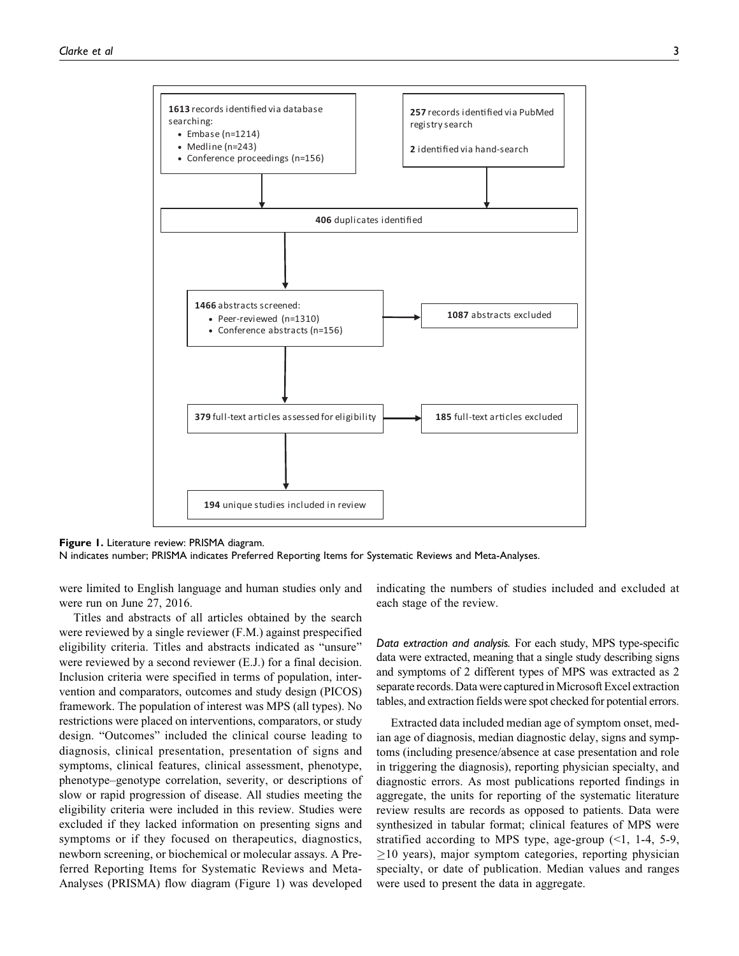

Figure 1. Literature review: PRISMA diagram.

N indicates number; PRISMA indicates Preferred Reporting Items for Systematic Reviews and Meta-Analyses.

were limited to English language and human studies only and were run on June 27, 2016.

Titles and abstracts of all articles obtained by the search were reviewed by a single reviewer (F.M.) against prespecified eligibility criteria. Titles and abstracts indicated as "unsure" were reviewed by a second reviewer (E.J.) for a final decision. Inclusion criteria were specified in terms of population, intervention and comparators, outcomes and study design (PICOS) framework. The population of interest was MPS (all types). No restrictions were placed on interventions, comparators, or study design. "Outcomes" included the clinical course leading to diagnosis, clinical presentation, presentation of signs and symptoms, clinical features, clinical assessment, phenotype, phenotype–genotype correlation, severity, or descriptions of slow or rapid progression of disease. All studies meeting the eligibility criteria were included in this review. Studies were excluded if they lacked information on presenting signs and symptoms or if they focused on therapeutics, diagnostics, newborn screening, or biochemical or molecular assays. A Preferred Reporting Items for Systematic Reviews and Meta-Analyses (PRISMA) flow diagram (Figure 1) was developed indicating the numbers of studies included and excluded at each stage of the review.

Data extraction and analysis. For each study, MPS type-specific data were extracted, meaning that a single study describing signs and symptoms of 2 different types of MPS was extracted as 2 separate records. Data were captured in Microsoft Excel extraction tables, and extraction fields were spot checked for potential errors.

Extracted data included median age of symptom onset, median age of diagnosis, median diagnostic delay, signs and symptoms (including presence/absence at case presentation and role in triggering the diagnosis), reporting physician specialty, and diagnostic errors. As most publications reported findings in aggregate, the units for reporting of the systematic literature review results are records as opposed to patients. Data were synthesized in tabular format; clinical features of MPS were stratified according to MPS type, age-group  $(1, 1-4, 5-9, 1)$  $\geq$ 10 years), major symptom categories, reporting physician specialty, or date of publication. Median values and ranges were used to present the data in aggregate.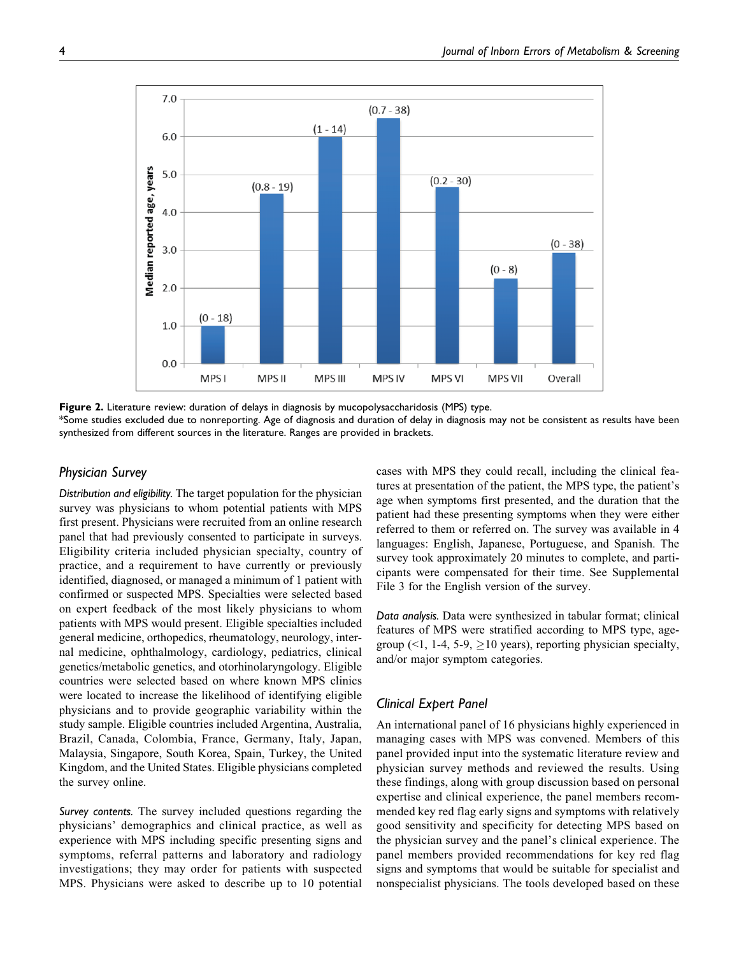

Figure 2. Literature review: duration of delays in diagnosis by mucopolysaccharidosis (MPS) type. \*Some studies excluded due to nonreporting. Age of diagnosis and duration of delay in diagnosis may not be consistent as results have been synthesized from different sources in the literature. Ranges are provided in brackets.

# Physician Survey

Distribution and eligibility. The target population for the physician survey was physicians to whom potential patients with MPS first present. Physicians were recruited from an online research panel that had previously consented to participate in surveys. Eligibility criteria included physician specialty, country of practice, and a requirement to have currently or previously identified, diagnosed, or managed a minimum of 1 patient with confirmed or suspected MPS. Specialties were selected based on expert feedback of the most likely physicians to whom patients with MPS would present. Eligible specialties included general medicine, orthopedics, rheumatology, neurology, internal medicine, ophthalmology, cardiology, pediatrics, clinical genetics/metabolic genetics, and otorhinolaryngology. Eligible countries were selected based on where known MPS clinics were located to increase the likelihood of identifying eligible physicians and to provide geographic variability within the study sample. Eligible countries included Argentina, Australia, Brazil, Canada, Colombia, France, Germany, Italy, Japan, Malaysia, Singapore, South Korea, Spain, Turkey, the United Kingdom, and the United States. Eligible physicians completed the survey online.

Survey contents. The survey included questions regarding the physicians' demographics and clinical practice, as well as experience with MPS including specific presenting signs and symptoms, referral patterns and laboratory and radiology investigations; they may order for patients with suspected MPS. Physicians were asked to describe up to 10 potential

cases with MPS they could recall, including the clinical features at presentation of the patient, the MPS type, the patient's age when symptoms first presented, and the duration that the patient had these presenting symptoms when they were either referred to them or referred on. The survey was available in 4 languages: English, Japanese, Portuguese, and Spanish. The survey took approximately 20 minutes to complete, and participants were compensated for their time. See Supplemental File 3 for the English version of the survey.

Data analysis. Data were synthesized in tabular format; clinical features of MPS were stratified according to MPS type, agegroup  $($  <1, 1-4, 5-9,  $\geq$  10 years), reporting physician specialty, and/or major symptom categories.

# Clinical Expert Panel

An international panel of 16 physicians highly experienced in managing cases with MPS was convened. Members of this panel provided input into the systematic literature review and physician survey methods and reviewed the results. Using these findings, along with group discussion based on personal expertise and clinical experience, the panel members recommended key red flag early signs and symptoms with relatively good sensitivity and specificity for detecting MPS based on the physician survey and the panel's clinical experience. The panel members provided recommendations for key red flag signs and symptoms that would be suitable for specialist and nonspecialist physicians. The tools developed based on these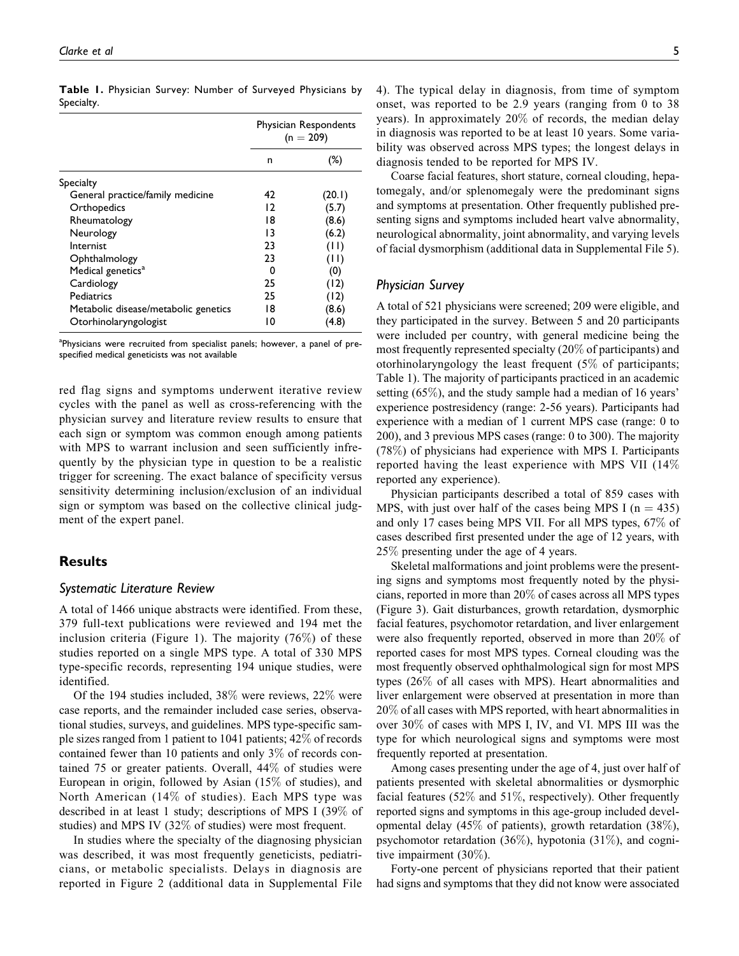|                                      |                | Physician Respondents<br>$(n = 209)$ |
|--------------------------------------|----------------|--------------------------------------|
|                                      | n              | $(\%)$                               |
| Specialty                            |                |                                      |
| General practice/family medicine     | 42             | (20.1)                               |
| Orthopedics                          | $\overline{2}$ | (5.7)                                |
| Rheumatology                         | 18             | (8.6)                                |
| Neurology                            | 13             | (6.2)                                |
| Internist                            | 23             | (11)                                 |
| Ophthalmology                        | 23             | (11)                                 |
| Medical genetics <sup>a</sup>        | O              | (0)                                  |
| Cardiology                           | 25             | (12)                                 |
| Pediatrics                           | 25             | (12)                                 |
| Metabolic disease/metabolic genetics | 18             | (8.6)                                |
| Otorhinolaryngologist                | 10             | (4.8)                                |

Table 1. Physician Survey: Number of Surveyed Physicians by Specialty.

<sup>a</sup>Physicians were recruited from specialist panels; however, a panel of prespecified medical geneticists was not available

red flag signs and symptoms underwent iterative review cycles with the panel as well as cross-referencing with the physician survey and literature review results to ensure that each sign or symptom was common enough among patients with MPS to warrant inclusion and seen sufficiently infrequently by the physician type in question to be a realistic trigger for screening. The exact balance of specificity versus sensitivity determining inclusion/exclusion of an individual sign or symptom was based on the collective clinical judgment of the expert panel.

# Results

#### Systematic Literature Review

A total of 1466 unique abstracts were identified. From these, 379 full-text publications were reviewed and 194 met the inclusion criteria (Figure 1). The majority  $(76\%)$  of these studies reported on a single MPS type. A total of 330 MPS type-specific records, representing 194 unique studies, were identified.

Of the 194 studies included, 38% were reviews, 22% were case reports, and the remainder included case series, observational studies, surveys, and guidelines. MPS type-specific sample sizes ranged from 1 patient to 1041 patients; 42% of records contained fewer than 10 patients and only 3% of records contained 75 or greater patients. Overall, 44% of studies were European in origin, followed by Asian (15% of studies), and North American (14% of studies). Each MPS type was described in at least 1 study; descriptions of MPS I (39% of studies) and MPS IV (32% of studies) were most frequent.

In studies where the specialty of the diagnosing physician was described, it was most frequently geneticists, pediatricians, or metabolic specialists. Delays in diagnosis are reported in Figure 2 (additional data in Supplemental File 4). The typical delay in diagnosis, from time of symptom onset, was reported to be 2.9 years (ranging from 0 to 38 years). In approximately 20% of records, the median delay in diagnosis was reported to be at least 10 years. Some variability was observed across MPS types; the longest delays in diagnosis tended to be reported for MPS IV.

Coarse facial features, short stature, corneal clouding, hepatomegaly, and/or splenomegaly were the predominant signs and symptoms at presentation. Other frequently published presenting signs and symptoms included heart valve abnormality, neurological abnormality, joint abnormality, and varying levels of facial dysmorphism (additional data in Supplemental File 5).

#### Physician Survey

A total of 521 physicians were screened; 209 were eligible, and they participated in the survey. Between 5 and 20 participants were included per country, with general medicine being the most frequently represented specialty (20% of participants) and otorhinolaryngology the least frequent (5% of participants; Table 1). The majority of participants practiced in an academic setting (65%), and the study sample had a median of 16 years' experience postresidency (range: 2-56 years). Participants had experience with a median of 1 current MPS case (range: 0 to 200), and 3 previous MPS cases (range: 0 to 300). The majority (78%) of physicians had experience with MPS I. Participants reported having the least experience with MPS VII (14% reported any experience).

Physician participants described a total of 859 cases with MPS, with just over half of the cases being MPS I ( $n = 435$ ) and only 17 cases being MPS VII. For all MPS types, 67% of cases described first presented under the age of 12 years, with 25% presenting under the age of 4 years.

Skeletal malformations and joint problems were the presenting signs and symptoms most frequently noted by the physicians, reported in more than 20% of cases across all MPS types (Figure 3). Gait disturbances, growth retardation, dysmorphic facial features, psychomotor retardation, and liver enlargement were also frequently reported, observed in more than 20% of reported cases for most MPS types. Corneal clouding was the most frequently observed ophthalmological sign for most MPS types (26% of all cases with MPS). Heart abnormalities and liver enlargement were observed at presentation in more than 20% of all cases with MPS reported, with heart abnormalities in over 30% of cases with MPS I, IV, and VI. MPS III was the type for which neurological signs and symptoms were most frequently reported at presentation.

Among cases presenting under the age of 4, just over half of patients presented with skeletal abnormalities or dysmorphic facial features (52% and 51%, respectively). Other frequently reported signs and symptoms in this age-group included developmental delay (45% of patients), growth retardation (38%), psychomotor retardation (36%), hypotonia (31%), and cognitive impairment (30%).

Forty-one percent of physicians reported that their patient had signs and symptoms that they did not know were associated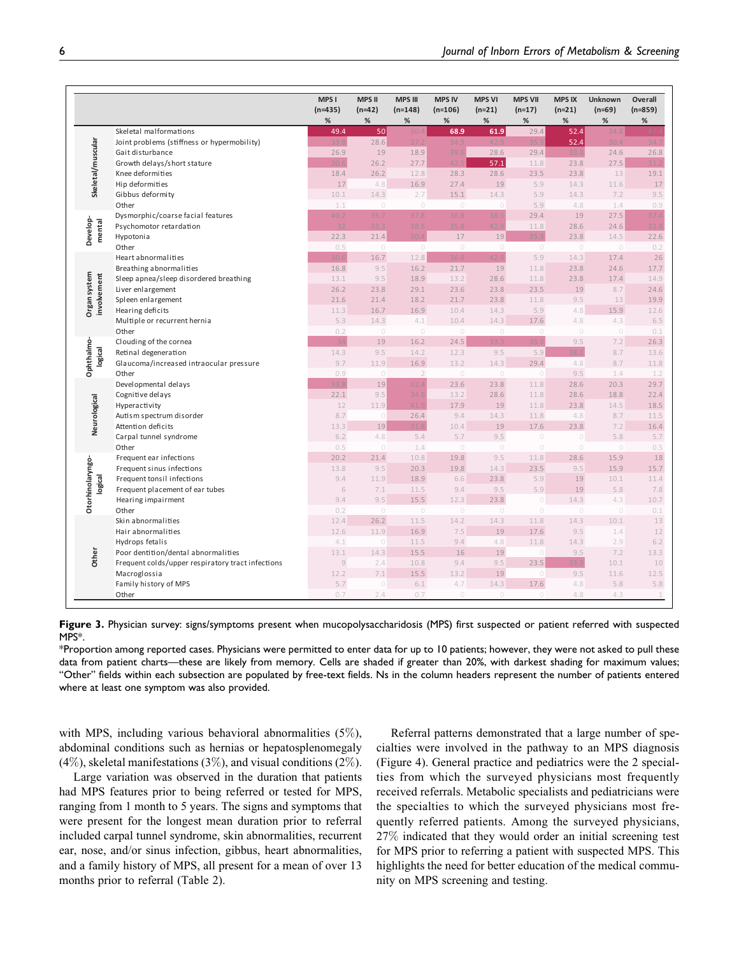|                             |                                                        | MPS I<br>$(n=435)$<br>% | <b>MPS II</b><br>$(n=42)$<br>$\%$        | <b>MPS III</b><br>$(n=148)$<br>$\%$ | <b>MPS IV</b><br>$(n=106)$<br>$\%$ | <b>MPS VI</b><br>$(n=21)$<br>$\%$ | <b>MPS VII</b><br>$(n=17)$<br>$\%$ | <b>MPS IX</b><br>$(n=21)$<br>%   | Unknown<br>$(n=69)$<br>% | <b>Overall</b><br>$(n=859)$<br>% |
|-----------------------------|--------------------------------------------------------|-------------------------|------------------------------------------|-------------------------------------|------------------------------------|-----------------------------------|------------------------------------|----------------------------------|--------------------------|----------------------------------|
|                             | Skeletal malformations                                 | 49.4                    | 50                                       | 30.4                                | 68.9                               | 61.9                              | 29.4                               | 52.4                             | 34.8                     |                                  |
|                             | Joint problems (stiffness or hypermobility)            | 33.8                    | 28.6                                     | 37.2                                | 34.9                               | 42.9                              | 35.3                               | 52.4                             | 30.4                     | 34.7                             |
|                             | Gait disturbance                                       | 26.9                    | 19                                       | 18.9                                | 39.6                               | 28.6                              | 29.4                               | 33.3                             | 24.6                     | 26.8                             |
|                             | Growth delays/short stature                            | 30.6                    | 26.2                                     | 27.7                                | 42.5                               | 57.1                              | 11.8                               | 23.8                             | 27.5                     | 31.2                             |
|                             | Knee deformities                                       | 18.4                    | 26.2                                     | 12.8                                | 28.3                               | 28.6                              | 23.5                               | 23.8                             | 13                       | 19.1                             |
| Skeletal/muscular           | Hip deformities                                        | 17                      | 4.8                                      | 16.9                                | 27.4                               | 19                                | 5.9                                | 14.3                             | 11.6                     | 17                               |
|                             | Gibbus deformity                                       | 10.1                    | 14.3                                     | 2.7                                 | 15.1                               | 14.3                              | 5.9                                | 14.3                             | 7.2                      | 9.5                              |
|                             | Other                                                  | 1.1                     | $\sqrt{2}$                               | $\begin{array}{c} \n\end{array}$    | $\cup$                             | $\bigcirc$                        | 5.9                                | 4.8                              | 1.4                      | 0.9                              |
|                             | Dysmorphic/coarse facial features                      | 40.2                    | 35.7                                     | 37.8                                | 36.8                               | 38.1                              | 29.4                               | 19                               | 27.5                     | 37.4                             |
| Develop-<br>mental          | Psychomotor retardation                                | 32 <sup>°</sup>         | 33.3                                     | 38.5                                | 35.8                               | 42.9                              | 11.8                               | 28.6                             | 24.6                     | 32.8                             |
|                             | Hypotonia                                              | 22.3                    | 21.4                                     | 30.4                                | 17                                 | 19                                | 35.3                               | 23.8                             | 14.5                     | 22.6                             |
|                             | Other                                                  | 0.5                     | $\bigcirc$                               | $\overline{0}$                      | $\circ$                            | $\overline{0}$                    | $\circ$                            | $\bigcirc$                       | $\Omega$                 | 0.2                              |
|                             | Heart abnormalities                                    | 30.6                    | 16.7                                     | 12.8                                | 36.8                               | 42.9                              | 5.9                                | 14.3                             | 17.4                     | 26                               |
|                             | Breathing abnormalities                                | 16.8<br>13.1            | 9.5                                      | 16.2<br>18.9                        | 21.7<br>13.2                       | 19                                | 11.8                               | 23.8<br>23.8                     | 24.6<br>17.4             | 17.7                             |
| Organ system<br>involvement | Sleep apnea/sleep disordered breathing                 | 26.2                    | 9.5<br>23.8                              | 29.1                                | 23.6                               | 28.6<br>23.8                      | 11.8<br>23.5                       | 19                               | 8.7                      | 14.9<br>24.6                     |
|                             | Liver enlargement<br>Spleen enlargement                | 21.6                    | 21.4                                     | 18.2                                | 21.7                               | 23.8                              | 11.8                               | 9.5                              | 13                       | 19.9                             |
|                             | Hearing deficits                                       | 11.3                    | 16.7                                     | 16.9                                | 10.4                               | 14.3                              | 5.9                                | 4.8                              | 15.9                     | 12.6                             |
|                             | Multiple or recurrent hernia                           | 5.3                     | 14.3                                     | 4.1                                 | 10.4                               | 14.3                              | 17.6                               | 4.8                              | 4.3                      | 6.5                              |
|                             | Other                                                  | 0.2                     | $\circledcirc$                           | $\begin{array}{c} \n\end{array}$    | $\overline{0}$                     | $\overline{0}$                    | $\overline{0}$                     | $\circledcirc$                   | $\circ$                  | 0.1                              |
|                             | Clouding of the cornea                                 | 34                      | 19                                       | 16.2                                | 24.5                               | 33.3                              | 35.3                               | 9.5                              | 7.2                      | 26.3                             |
|                             | Retinal degeneration                                   | 14.3                    | 9.5                                      | 14.2                                | 12.3                               | 9.5                               | 5.9                                | 38.1                             | 8.7                      | 13.6                             |
| logical                     | Glaucoma/increased intraocular pressure                | 9.7                     | 11.9                                     | 16.9                                | 13.2                               | 14.3                              | 29.4                               | 4.8                              | 8.7                      | 11.8                             |
| Ophthalmo-                  | Other                                                  | 0.9                     | $\begin{array}{c} 0 \end{array}$         | $\overline{2}$                      | $\overline{0}$                     | $\overline{0}$                    | $\circ$                            | 9.5                              | 1.4                      | 1.2                              |
|                             | Developmental delays                                   | 33.8                    | 19                                       | 32.4                                | 23.6                               | 23.8                              | 11.8                               | 28.6                             | 20.3                     | 29.7                             |
|                             | Cognitive delays                                       | 22.1                    | 9.5                                      | 34.5                                | 13.2                               | 28.6                              | 11.8                               | 28.6                             | 18.8                     | 22.4                             |
| Neurological                | Hyperactivity                                          | 12                      | 11.9                                     | 41.9                                | 17.9                               | 19                                | 11.8                               | 23.8                             | 14.5                     | 18.5                             |
|                             | Autism spectrum disorder                               | 8.7                     | $\cup$                                   | 26.4                                | 9.4                                | 14.3                              | 11.8                               | 4.8                              | 8.7                      | 11.5                             |
|                             | Attention deficits                                     | 13.3                    | 19                                       | 31.8                                | 10.4                               | 19                                | 17.6                               | 23.8                             | 7.2                      | 16.4                             |
|                             | Carpal tunnel syndrome                                 | 6.2                     | 4.8                                      | 5.4                                 | 5.7                                | 9.5                               | $\begin{array}{c} \n\end{array}$   | $\cup$                           | 5.8                      | 5.7                              |
|                             | Other                                                  | 0.5                     | $\begin{array}{c} \n\end{array}$         | 1.4                                 | $\begin{array}{c} \n\end{array}$   | $\bigcirc$                        | $\begin{array}{c} \n\end{array}$   | $\begin{array}{c} \n\end{array}$ | $\cup$                   | 0.5                              |
|                             | Frequent ear infections                                | 20.2                    | 21.4                                     | 10.8                                | 19.8                               | 9.5                               | 11.8                               | 28.6                             | 15.9                     | 18                               |
| Otorhinolaryngo-            | Frequent sinus infections                              | 13.8                    | 9.5                                      | 20.3                                | 19.8                               | 14.3                              | 23.5                               | 9.5                              | 15.9                     | 15.7                             |
| logical                     | Frequent tonsil infections                             | 9.4                     | 11.9                                     | 18.9                                | 6.6                                | 23.8                              | 5.9                                | 19                               | 10.1                     | 11.4                             |
|                             | Frequent placement of ear tubes                        | $\sqrt{6}$              | 7.1                                      | 11.5                                | 9.4                                | 9.5                               | 5.9                                | 19                               | 5.8                      | 7.8                              |
|                             | Hearing impairment                                     | 9.4                     | 9.5                                      | 15.5                                | 12.3                               | 23.8                              | $\overline{0}$                     | 14.3                             | 4.3                      | 10.7                             |
|                             | Other                                                  | 0.2                     | $\begin{array}{c} \n\end{array}$         | $\overline{0}$                      | $\begin{array}{c} \n\end{array}$   | $\overline{0}$                    | $\bigcirc$                         | $\cup$                           | $\bigcirc$               | 0.1                              |
|                             | Skin abnormalities                                     | 12.4                    | 26.2                                     | 11.5                                | 14.2                               | 14.3                              | 11.8                               | 14.3                             | 10.1                     | 13                               |
|                             | Hair abnormalities                                     | 12.6                    | 11.9                                     | 16.9                                | 7.5                                | 19                                | 17.6                               | 9.5<br>14.3                      | 1.4                      | 12                               |
|                             | Hydrops fetalis<br>Poor dentition/dental abnormalities | 4.1<br>13.1             | $\begin{array}{c} \n\end{array}$<br>14.3 | 11.5<br>15.5                        | 9.4<br>16                          | 4.8<br>19                         | 11.8<br>$\circ$                    | 9.5                              | 2.9<br>7.2               | 6.2<br>13.3                      |
| Other                       | Frequent colds/upper respiratory tract infections      | $\overline{9}$          | 2.4                                      | 10.8                                | 9.4                                | 9.5                               | 23.5                               | 33.3                             | 10.1                     | 10                               |
|                             | Macroglossia                                           | 12.2                    | 7.1                                      | 15.5                                | 13.2                               | 19                                | $\circ$                            | 9.5                              | 11.6                     | 12.5                             |
|                             | Family history of MPS                                  | 5.7                     | $\cup$                                   | 6.1                                 | 4.7                                | 14.3                              | 17.6                               | 4.8                              | 5.8                      | 5.8                              |
|                             | Other                                                  | 0.7                     | 2.4                                      | 0.7                                 | $\bigcap$                          | $\bigcap$                         | $\bigcap$                          | 4.8                              | 4.3                      | $\overline{1}$                   |
|                             |                                                        |                         |                                          |                                     |                                    |                                   |                                    |                                  |                          |                                  |

Figure 3. Physician survey: signs/symptoms present when mucopolysaccharidosis (MPS) first suspected or patient referred with suspected MPS\*.

\*Proportion among reported cases. Physicians were permitted to enter data for up to 10 patients; however, they were not asked to pull these data from patient charts—these are likely from memory. Cells are shaded if greater than 20%, with darkest shading for maximum values; "Other" fields within each subsection are populated by free-text fields. Ns in the column headers represent the number of patients entered where at least one symptom was also provided.

with MPS, including various behavioral abnormalities  $(5\%)$ , abdominal conditions such as hernias or hepatosplenomegaly (4%), skeletal manifestations (3%), and visual conditions (2%).

Large variation was observed in the duration that patients had MPS features prior to being referred or tested for MPS, ranging from 1 month to 5 years. The signs and symptoms that were present for the longest mean duration prior to referral included carpal tunnel syndrome, skin abnormalities, recurrent ear, nose, and/or sinus infection, gibbus, heart abnormalities, and a family history of MPS, all present for a mean of over 13 months prior to referral (Table 2).

Referral patterns demonstrated that a large number of specialties were involved in the pathway to an MPS diagnosis (Figure 4). General practice and pediatrics were the 2 specialties from which the surveyed physicians most frequently received referrals. Metabolic specialists and pediatricians were the specialties to which the surveyed physicians most frequently referred patients. Among the surveyed physicians, 27% indicated that they would order an initial screening test for MPS prior to referring a patient with suspected MPS. This highlights the need for better education of the medical community on MPS screening and testing.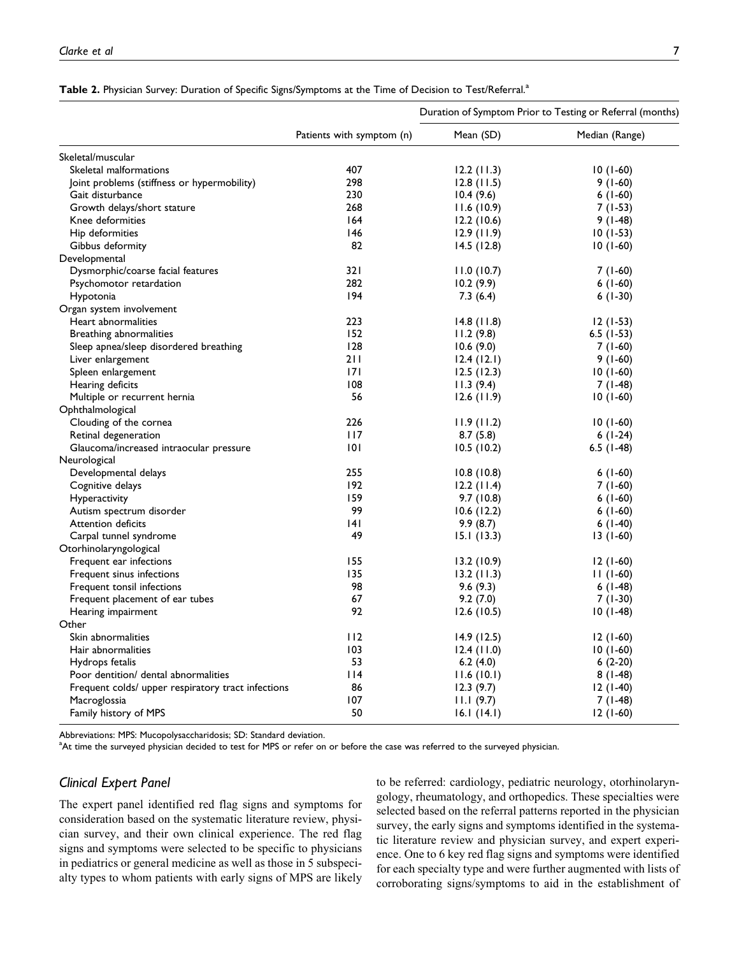| Table 2. Physician Survey: Duration of Specific Signs/Symptoms at the Time of Decision to Test/Referral. <sup>a</sup> |
|-----------------------------------------------------------------------------------------------------------------------|
|-----------------------------------------------------------------------------------------------------------------------|

|                                                    |                           |            | Duration of Symptom Prior to Testing or Referral (months) |
|----------------------------------------------------|---------------------------|------------|-----------------------------------------------------------|
|                                                    | Patients with symptom (n) | Mean (SD)  | Median (Range)                                            |
| Skeletal/muscular                                  |                           |            |                                                           |
| Skeletal malformations                             | 407                       | 12.2(11.3) | $10(1-60)$                                                |
| Joint problems (stiffness or hypermobility)        | 298                       | 12.8(11.5) | $9(1-60)$                                                 |
| Gait disturbance                                   | 230                       | 10.4(9.6)  | $6(1-60)$                                                 |
| Growth delays/short stature                        | 268                       | 11.6(10.9) | $7(1-53)$                                                 |
| Knee deformities                                   | 164                       | 12.2(10.6) | $9(1-48)$                                                 |
| Hip deformities                                    | 146                       | 12.9(11.9) | $10(1-53)$                                                |
| Gibbus deformity                                   | 82                        | 14.5(12.8) | $10(1-60)$                                                |
| Developmental                                      |                           |            |                                                           |
| Dysmorphic/coarse facial features                  | 321                       | 11.0(10.7) | $7(1-60)$                                                 |
| Psychomotor retardation                            | 282                       | 10.2(9.9)  | $6(1-60)$                                                 |
| Hypotonia                                          | 194                       | 7.3(6.4)   | $6(1-30)$                                                 |
| Organ system involvement                           |                           |            |                                                           |
| Heart abnormalities                                | 223                       | 14.8(11.8) | $12(1-53)$                                                |
| Breathing abnormalities                            | 152                       | 11.2(9.8)  | $6.5$ (1-53)                                              |
| Sleep apnea/sleep disordered breathing             | 128                       | 10.6(9.0)  | $7(1-60)$                                                 |
| Liver enlargement                                  | 211                       | 12.4(12.1) | $9(1-60)$                                                 |
| Spleen enlargement                                 | 7                         | 12.5(12.3) | $10(1-60)$                                                |
| Hearing deficits                                   | 108                       | 11.3(9.4)  | $7(1-48)$                                                 |
| Multiple or recurrent hernia                       | 56                        | 12.6(11.9) | $10(1-60)$                                                |
| Ophthalmological                                   |                           |            |                                                           |
| Clouding of the cornea                             | 226                       | 11.9(11.2) | $10(1-60)$                                                |
| Retinal degeneration                               | 117                       | 8.7(5.8)   | $6(1-24)$                                                 |
| Glaucoma/increased intraocular pressure            | 0                         | 10.5(10.2) | $6.5$ (1-48)                                              |
| Neurological                                       |                           |            |                                                           |
| Developmental delays                               | 255                       | 10.8(10.8) | $6(1-60)$                                                 |
| Cognitive delays                                   | 192                       | 12.2(11.4) | $7(1-60)$                                                 |
| <b>Hyperactivity</b>                               | 159                       | 9.7(10.8)  | $6(1-60)$                                                 |
| Autism spectrum disorder                           | 99                        | 10.6(12.2) | $6(1-60)$                                                 |
| Attention deficits                                 | 4                         | 9.9(8.7)   | $6(1-40)$                                                 |
| Carpal tunnel syndrome                             | 49                        | 15.1(13.3) | $13(1-60)$                                                |
| Otorhinolaryngological                             |                           |            |                                                           |
| Frequent ear infections                            | 155                       | 13.2(10.9) | $12(1-60)$                                                |
| Frequent sinus infections                          | 135                       | 13.2(11.3) | $11(1-60)$                                                |
| Frequent tonsil infections                         | 98                        | 9.6(9.3)   | $6(1-48)$                                                 |
| Frequent placement of ear tubes                    | 67                        | 9.2(7.0)   | $7(1-30)$                                                 |
| Hearing impairment                                 | 92                        | 12.6(10.5) | $10(1-48)$                                                |
| Other                                              |                           |            |                                                           |
| Skin abnormalities                                 | 112                       | 14.9(12.5) | $12(1-60)$                                                |
| Hair abnormalities                                 | 103                       | 12.4(11.0) | $10(1-60)$                                                |
| Hydrops fetalis                                    | 53                        | 6.2(4.0)   | $6(2-20)$                                                 |
| Poor dentition/ dental abnormalities               | $ $  4                    | 11.6(10.1) | $8(1-48)$                                                 |
| Frequent colds/ upper respiratory tract infections | 86                        | 12.3(9.7)  | $12(1-40)$                                                |
| Macroglossia                                       | 107                       | 11.1(9.7)  | $7(1-48)$                                                 |
| Family history of MPS                              | 50                        | 16.1(14.1) | $12(1-60)$                                                |

Abbreviations: MPS: Mucopolysaccharidosis; SD: Standard deviation.

<sup>a</sup>At time the surveyed physician decided to test for MPS or refer on or before the case was referred to the surveyed physician.

# Clinical Expert Panel

The expert panel identified red flag signs and symptoms for consideration based on the systematic literature review, physician survey, and their own clinical experience. The red flag signs and symptoms were selected to be specific to physicians in pediatrics or general medicine as well as those in 5 subspecialty types to whom patients with early signs of MPS are likely

to be referred: cardiology, pediatric neurology, otorhinolaryngology, rheumatology, and orthopedics. These specialties were selected based on the referral patterns reported in the physician survey, the early signs and symptoms identified in the systematic literature review and physician survey, and expert experience. One to 6 key red flag signs and symptoms were identified for each specialty type and were further augmented with lists of corroborating signs/symptoms to aid in the establishment of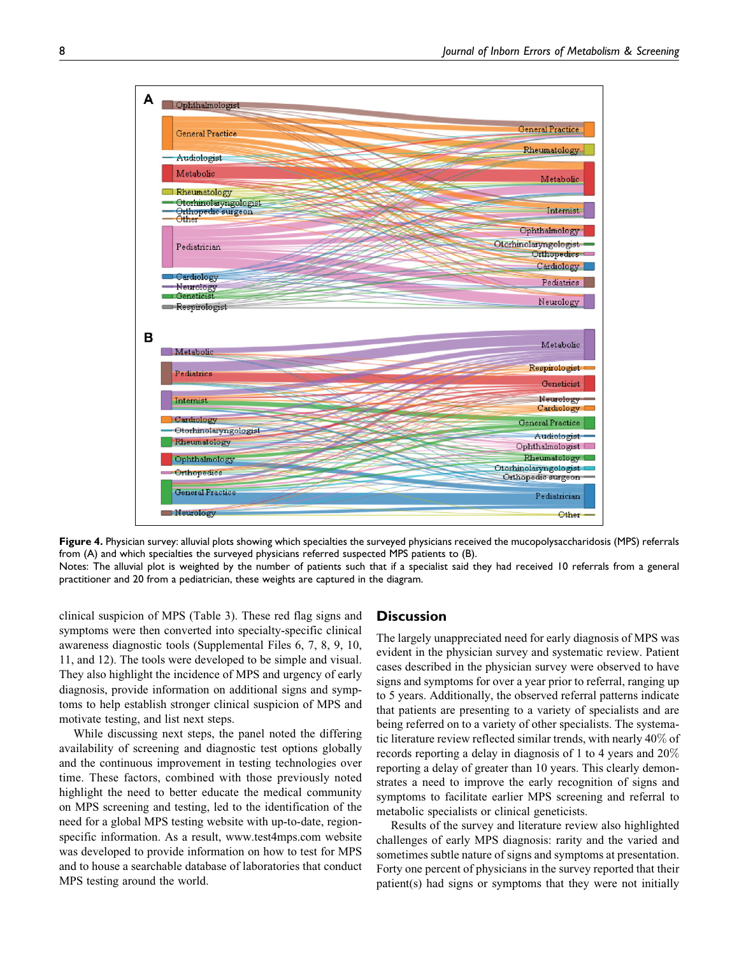

Figure 4. Physician survey: alluvial plots showing which specialties the surveyed physicians received the mucopolysaccharidosis (MPS) referrals from (A) and which specialties the surveyed physicians referred suspected MPS patients to (B).

Notes: The alluvial plot is weighted by the number of patients such that if a specialist said they had received 10 referrals from a general practitioner and 20 from a pediatrician, these weights are captured in the diagram.

clinical suspicion of MPS (Table 3). These red flag signs and symptoms were then converted into specialty-specific clinical awareness diagnostic tools (Supplemental Files 6, 7, 8, 9, 10, 11, and 12). The tools were developed to be simple and visual. They also highlight the incidence of MPS and urgency of early diagnosis, provide information on additional signs and symptoms to help establish stronger clinical suspicion of MPS and motivate testing, and list next steps.

While discussing next steps, the panel noted the differing availability of screening and diagnostic test options globally and the continuous improvement in testing technologies over time. These factors, combined with those previously noted highlight the need to better educate the medical community on MPS screening and testing, led to the identification of the need for a global MPS testing website with up-to-date, regionspecific information. As a result, [www.test4mps.com](http://www.test4mps.com) website was developed to provide information on how to test for MPS and to house a searchable database of laboratories that conduct MPS testing around the world.

# **Discussion**

The largely unappreciated need for early diagnosis of MPS was evident in the physician survey and systematic review. Patient cases described in the physician survey were observed to have signs and symptoms for over a year prior to referral, ranging up to 5 years. Additionally, the observed referral patterns indicate that patients are presenting to a variety of specialists and are being referred on to a variety of other specialists. The systematic literature review reflected similar trends, with nearly 40% of records reporting a delay in diagnosis of 1 to 4 years and 20% reporting a delay of greater than 10 years. This clearly demonstrates a need to improve the early recognition of signs and symptoms to facilitate earlier MPS screening and referral to metabolic specialists or clinical geneticists.

Results of the survey and literature review also highlighted challenges of early MPS diagnosis: rarity and the varied and sometimes subtle nature of signs and symptoms at presentation. Forty one percent of physicians in the survey reported that their patient(s) had signs or symptoms that they were not initially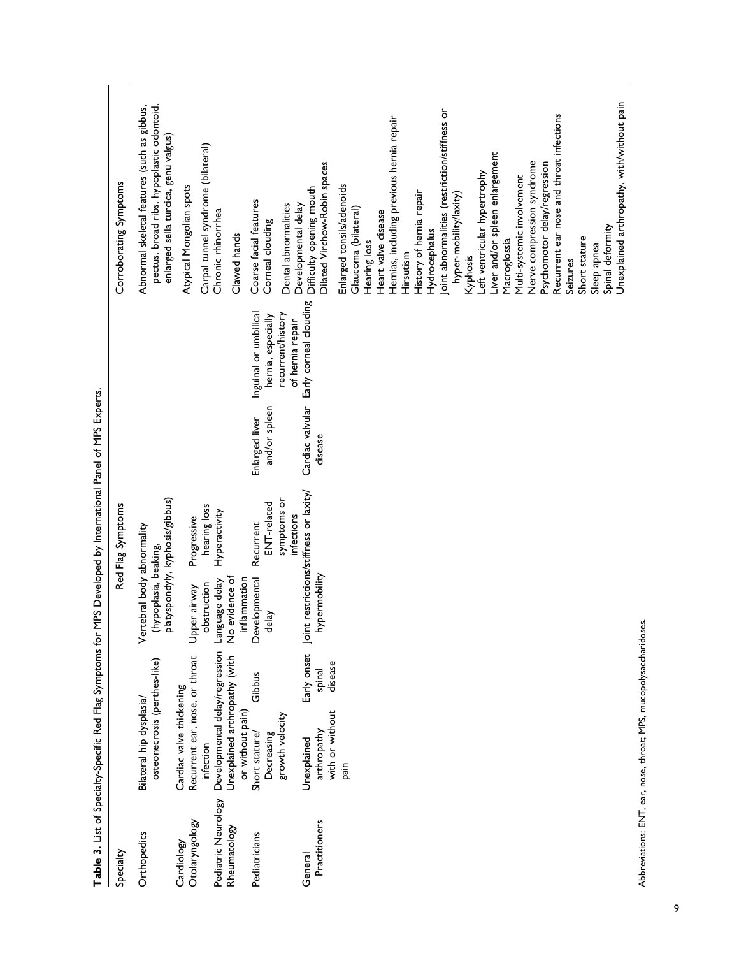|                                     | Table 3. List of Specialty-Specific Red Flag Symptoms for M     | PS Developed by International Panel of MPS Experts                                     |                                                                                |                                                                                                                                  |
|-------------------------------------|-----------------------------------------------------------------|----------------------------------------------------------------------------------------|--------------------------------------------------------------------------------|----------------------------------------------------------------------------------------------------------------------------------|
| Specialty                           |                                                                 | Red Flag Symptoms                                                                      |                                                                                | Corroborating Symptoms                                                                                                           |
| Orthopedics                         | osteonecrosis (perthes-like)<br>Bilateral hip dysplasia/        | (hypoplasia, beaking,<br>platyspondyly, kyphosis/gibbus)<br>Vertebral body abnormality |                                                                                | Abnormal skeletal features (such as gibbus,<br>pectus, broad ribs, hypoplastic odontoid,<br>enlarged sella turcica, genu valgus) |
| Otolaryngology<br>Cardiology        | Recurrent ear, nose, or throat<br>Cardiac valve thickening      | Progressive<br>Upper airway                                                            |                                                                                | Atypical Mongolian spots                                                                                                         |
|                                     | infection                                                       | hearing loss<br>obstruction                                                            |                                                                                | Carpal tunnel syndrome (bilateral)                                                                                               |
| Pediatric Neurology<br>Rheumatology | Developmental delay/regression<br>Unexplained arthropathy (with | Hyperactivity<br>No evidence of<br>Language delay                                      |                                                                                | Chronic rhinorrhea                                                                                                               |
|                                     | or without pain)                                                | inflammation                                                                           |                                                                                | Clawed hands                                                                                                                     |
| Pediatricians                       | Gibbus<br>Short stature/<br>Decreasing                          | ENT-related<br>Recurrent<br>Developmental<br>delay                                     | Inguinal or umbilical<br>hernia, especially<br>and/or spleen<br>Enlarged liver | Coarse facial features<br>Corneal clouding                                                                                       |
|                                     | growth velocity                                                 | symptoms or<br>infections                                                              | recurrent/history<br>of hernia repair                                          | Dental abnormalities                                                                                                             |
| Practitioners<br>General            | Early onset<br>spinal<br>arthropathy<br>Unexplained             | restrictions/stiffness or laxity/<br>hypermobility<br>Joint                            | Cardiac valvular Early corneal clouding<br>disease                             | Dilated Virchow-Robin spaces<br>Difficulty opening mouth<br>Developmental delay                                                  |
|                                     | disease<br>with or without                                      |                                                                                        |                                                                                |                                                                                                                                  |
|                                     | pain                                                            |                                                                                        |                                                                                | Enlarged tonsils/adenoids<br>Glaucoma (bilateral)                                                                                |
|                                     |                                                                 |                                                                                        |                                                                                | Hearing loss                                                                                                                     |
|                                     |                                                                 |                                                                                        |                                                                                | Heart valve disease                                                                                                              |
|                                     |                                                                 |                                                                                        |                                                                                | Hernias, including previous hernia repair                                                                                        |
|                                     |                                                                 |                                                                                        |                                                                                | Hirsutism                                                                                                                        |
|                                     |                                                                 |                                                                                        |                                                                                | History of hernia repair                                                                                                         |
|                                     |                                                                 |                                                                                        |                                                                                | Hydrocephalus                                                                                                                    |
|                                     |                                                                 |                                                                                        |                                                                                | oint abnormalities (restriction/stiffness or                                                                                     |
|                                     |                                                                 |                                                                                        |                                                                                | hyper-mobility/laxity)                                                                                                           |
|                                     |                                                                 |                                                                                        |                                                                                | Kyphosis                                                                                                                         |
|                                     |                                                                 |                                                                                        |                                                                                | Left ventricular hypertrophy                                                                                                     |
|                                     |                                                                 |                                                                                        |                                                                                | Liver and/or spleen enlargement                                                                                                  |
|                                     |                                                                 |                                                                                        |                                                                                | Macroglossia                                                                                                                     |
|                                     |                                                                 |                                                                                        |                                                                                | Multi-systemic involvement                                                                                                       |
|                                     |                                                                 |                                                                                        |                                                                                | Nerve compression syndrome                                                                                                       |
|                                     |                                                                 |                                                                                        |                                                                                | Psychomotor delay/regression                                                                                                     |
|                                     |                                                                 |                                                                                        |                                                                                | Recurrent ear nose and throat infections                                                                                         |
|                                     |                                                                 |                                                                                        |                                                                                | Seizures                                                                                                                         |
|                                     |                                                                 |                                                                                        |                                                                                | Short stature                                                                                                                    |
|                                     |                                                                 |                                                                                        |                                                                                | Sleep apnea                                                                                                                      |
|                                     |                                                                 |                                                                                        |                                                                                | Spinal deformity                                                                                                                 |
|                                     |                                                                 |                                                                                        |                                                                                | Unexplained arthropathy, with/without pain                                                                                       |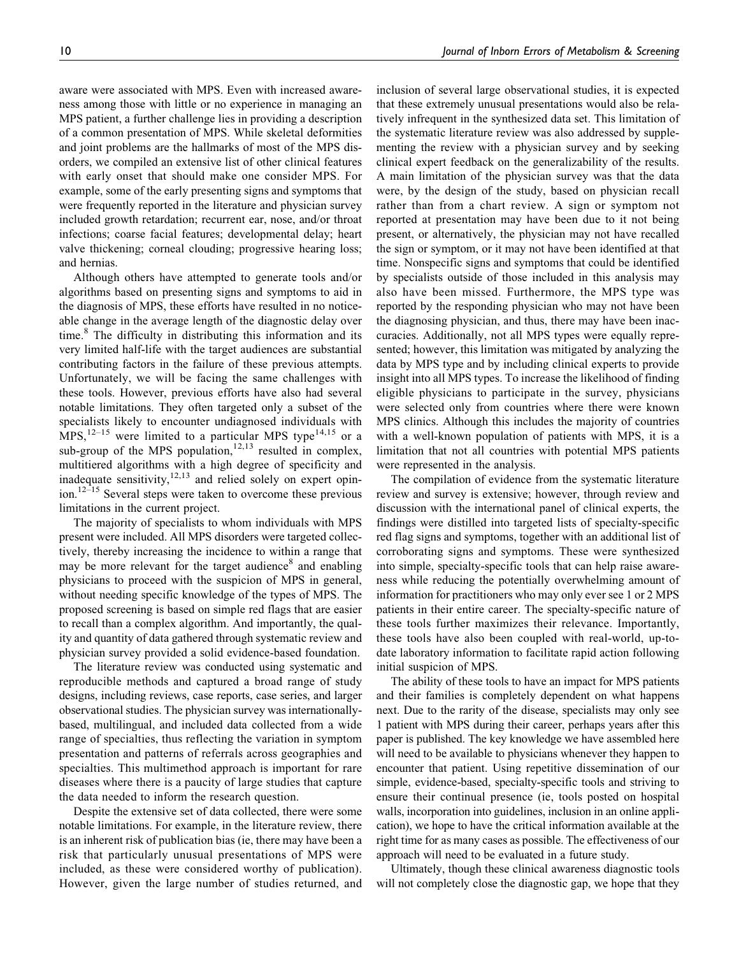aware were associated with MPS. Even with increased awareness among those with little or no experience in managing an MPS patient, a further challenge lies in providing a description of a common presentation of MPS. While skeletal deformities and joint problems are the hallmarks of most of the MPS disorders, we compiled an extensive list of other clinical features with early onset that should make one consider MPS. For example, some of the early presenting signs and symptoms that were frequently reported in the literature and physician survey included growth retardation; recurrent ear, nose, and/or throat infections; coarse facial features; developmental delay; heart valve thickening; corneal clouding; progressive hearing loss; and hernias.

Although others have attempted to generate tools and/or algorithms based on presenting signs and symptoms to aid in the diagnosis of MPS, these efforts have resulted in no noticeable change in the average length of the diagnostic delay over time.<sup>8</sup> The difficulty in distributing this information and its very limited half-life with the target audiences are substantial contributing factors in the failure of these previous attempts. Unfortunately, we will be facing the same challenges with these tools. However, previous efforts have also had several notable limitations. They often targeted only a subset of the specialists likely to encounter undiagnosed individuals with  $MPS$ ,<sup>12–15</sup> were limited to a particular MPS type<sup>14,15</sup> or a sub-group of the MPS population,  $12,13$  resulted in complex, multitiered algorithms with a high degree of specificity and inadequate sensitivity, $12,13$  and relied solely on expert opin- $\text{ion.}^{12-15}$  Several steps were taken to overcome these previous limitations in the current project.

The majority of specialists to whom individuals with MPS present were included. All MPS disorders were targeted collectively, thereby increasing the incidence to within a range that may be more relevant for the target audience<sup>8</sup> and enabling physicians to proceed with the suspicion of MPS in general, without needing specific knowledge of the types of MPS. The proposed screening is based on simple red flags that are easier to recall than a complex algorithm. And importantly, the quality and quantity of data gathered through systematic review and physician survey provided a solid evidence-based foundation.

The literature review was conducted using systematic and reproducible methods and captured a broad range of study designs, including reviews, case reports, case series, and larger observational studies. The physician survey was internationallybased, multilingual, and included data collected from a wide range of specialties, thus reflecting the variation in symptom presentation and patterns of referrals across geographies and specialties. This multimethod approach is important for rare diseases where there is a paucity of large studies that capture the data needed to inform the research question.

Despite the extensive set of data collected, there were some notable limitations. For example, in the literature review, there is an inherent risk of publication bias (ie, there may have been a risk that particularly unusual presentations of MPS were included, as these were considered worthy of publication). However, given the large number of studies returned, and inclusion of several large observational studies, it is expected that these extremely unusual presentations would also be relatively infrequent in the synthesized data set. This limitation of the systematic literature review was also addressed by supplementing the review with a physician survey and by seeking clinical expert feedback on the generalizability of the results. A main limitation of the physician survey was that the data were, by the design of the study, based on physician recall rather than from a chart review. A sign or symptom not reported at presentation may have been due to it not being present, or alternatively, the physician may not have recalled the sign or symptom, or it may not have been identified at that time. Nonspecific signs and symptoms that could be identified by specialists outside of those included in this analysis may also have been missed. Furthermore, the MPS type was reported by the responding physician who may not have been the diagnosing physician, and thus, there may have been inaccuracies. Additionally, not all MPS types were equally represented; however, this limitation was mitigated by analyzing the data by MPS type and by including clinical experts to provide insight into all MPS types. To increase the likelihood of finding eligible physicians to participate in the survey, physicians were selected only from countries where there were known MPS clinics. Although this includes the majority of countries with a well-known population of patients with MPS, it is a limitation that not all countries with potential MPS patients were represented in the analysis.

The compilation of evidence from the systematic literature review and survey is extensive; however, through review and discussion with the international panel of clinical experts, the findings were distilled into targeted lists of specialty-specific red flag signs and symptoms, together with an additional list of corroborating signs and symptoms. These were synthesized into simple, specialty-specific tools that can help raise awareness while reducing the potentially overwhelming amount of information for practitioners who may only ever see 1 or 2 MPS patients in their entire career. The specialty-specific nature of these tools further maximizes their relevance. Importantly, these tools have also been coupled with real-world, up-todate laboratory information to facilitate rapid action following initial suspicion of MPS.

The ability of these tools to have an impact for MPS patients and their families is completely dependent on what happens next. Due to the rarity of the disease, specialists may only see 1 patient with MPS during their career, perhaps years after this paper is published. The key knowledge we have assembled here will need to be available to physicians whenever they happen to encounter that patient. Using repetitive dissemination of our simple, evidence-based, specialty-specific tools and striving to ensure their continual presence (ie, tools posted on hospital walls, incorporation into guidelines, inclusion in an online application), we hope to have the critical information available at the right time for as many cases as possible. The effectiveness of our approach will need to be evaluated in a future study.

Ultimately, though these clinical awareness diagnostic tools will not completely close the diagnostic gap, we hope that they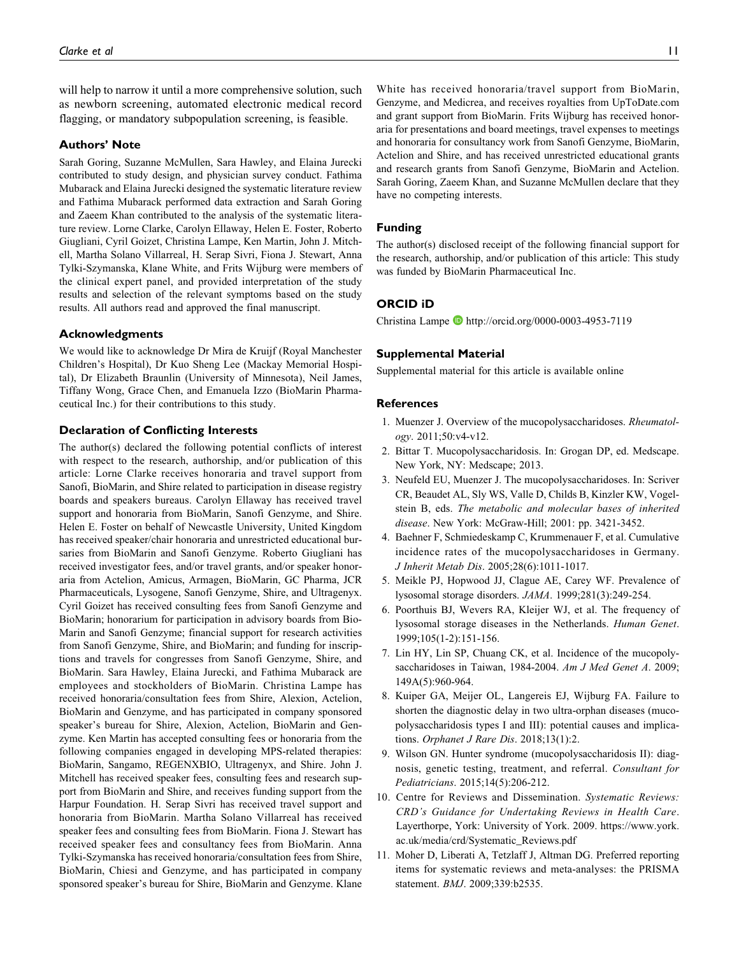will help to narrow it until a more comprehensive solution, such as newborn screening, automated electronic medical record flagging, or mandatory subpopulation screening, is feasible.

#### Authors' Note

Sarah Goring, Suzanne McMullen, Sara Hawley, and Elaina Jurecki contributed to study design, and physician survey conduct. Fathima Mubarack and Elaina Jurecki designed the systematic literature review and Fathima Mubarack performed data extraction and Sarah Goring and Zaeem Khan contributed to the analysis of the systematic literature review. Lorne Clarke, Carolyn Ellaway, Helen E. Foster, Roberto Giugliani, Cyril Goizet, Christina Lampe, Ken Martin, John J. Mitchell, Martha Solano Villarreal, H. Serap Sivri, Fiona J. Stewart, Anna Tylki-Szymanska, Klane White, and Frits Wijburg were members of the clinical expert panel, and provided interpretation of the study results and selection of the relevant symptoms based on the study results. All authors read and approved the final manuscript.

#### Acknowledgments

We would like to acknowledge Dr Mira de Kruijf (Royal Manchester Children's Hospital), Dr Kuo Sheng Lee (Mackay Memorial Hospital), Dr Elizabeth Braunlin (University of Minnesota), Neil James, Tiffany Wong, Grace Chen, and Emanuela Izzo (BioMarin Pharmaceutical Inc.) for their contributions to this study.

# Declaration of Conflicting Interests

The author(s) declared the following potential conflicts of interest with respect to the research, authorship, and/or publication of this article: Lorne Clarke receives honoraria and travel support from Sanofi, BioMarin, and Shire related to participation in disease registry boards and speakers bureaus. Carolyn Ellaway has received travel support and honoraria from BioMarin, Sanofi Genzyme, and Shire. Helen E. Foster on behalf of Newcastle University, United Kingdom has received speaker/chair honoraria and unrestricted educational bursaries from BioMarin and Sanofi Genzyme. Roberto Giugliani has received investigator fees, and/or travel grants, and/or speaker honoraria from Actelion, Amicus, Armagen, BioMarin, GC Pharma, JCR Pharmaceuticals, Lysogene, Sanofi Genzyme, Shire, and Ultragenyx. Cyril Goizet has received consulting fees from Sanofi Genzyme and BioMarin; honorarium for participation in advisory boards from Bio-Marin and Sanofi Genzyme; financial support for research activities from Sanofi Genzyme, Shire, and BioMarin; and funding for inscriptions and travels for congresses from Sanofi Genzyme, Shire, and BioMarin. Sara Hawley, Elaina Jurecki, and Fathima Mubarack are employees and stockholders of BioMarin. Christina Lampe has received honoraria/consultation fees from Shire, Alexion, Actelion, BioMarin and Genzyme, and has participated in company sponsored speaker's bureau for Shire, Alexion, Actelion, BioMarin and Genzyme. Ken Martin has accepted consulting fees or honoraria from the following companies engaged in developing MPS-related therapies: BioMarin, Sangamo, REGENXBIO, Ultragenyx, and Shire. John J. Mitchell has received speaker fees, consulting fees and research support from BioMarin and Shire, and receives funding support from the Harpur Foundation. H. Serap Sivri has received travel support and honoraria from BioMarin. Martha Solano Villarreal has received speaker fees and consulting fees from BioMarin. Fiona J. Stewart has received speaker fees and consultancy fees from BioMarin. Anna Tylki-Szymanska has received honoraria/consultation fees from Shire, BioMarin, Chiesi and Genzyme, and has participated in company sponsored speaker's bureau for Shire, BioMarin and Genzyme. Klane

White has received honoraria/travel support from BioMarin, Genzyme, and Medicrea, and receives royalties from UpToDate.com and grant support from BioMarin. Frits Wijburg has received honoraria for presentations and board meetings, travel expenses to meetings and honoraria for consultancy work from Sanofi Genzyme, BioMarin, Actelion and Shire, and has received unrestricted educational grants and research grants from Sanofi Genzyme, BioMarin and Actelion. Sarah Goring, Zaeem Khan, and Suzanne McMullen declare that they have no competing interests.

#### Funding

The author(s) disclosed receipt of the following financial support for the research, authorship, and/or publication of this article: This study was funded by BioMarin Pharmaceutical Inc.

# ORCID iD

Christina Lampe <http://orcid.org/0000-0003-4953-7119>

#### Supplemental Material

Supplemental material for this article is available online

#### References

- 1. Muenzer J. Overview of the mucopolysaccharidoses. Rheumatology. 2011;50:v4-v12.
- 2. Bittar T. Mucopolysaccharidosis. In: Grogan DP, ed. Medscape. New York, NY: Medscape; 2013.
- 3. Neufeld EU, Muenzer J. The mucopolysaccharidoses. In: Scriver CR, Beaudet AL, Sly WS, Valle D, Childs B, Kinzler KW, Vogelstein B, eds. The metabolic and molecular bases of inherited disease. New York: McGraw-Hill; 2001: pp. 3421-3452.
- 4. Baehner F, Schmiedeskamp C, Krummenauer F, et al. Cumulative incidence rates of the mucopolysaccharidoses in Germany. J Inherit Metab Dis. 2005;28(6):1011-1017.
- 5. Meikle PJ, Hopwood JJ, Clague AE, Carey WF. Prevalence of lysosomal storage disorders. JAMA. 1999;281(3):249-254.
- 6. Poorthuis BJ, Wevers RA, Kleijer WJ, et al. The frequency of lysosomal storage diseases in the Netherlands. Human Genet. 1999;105(1-2):151-156.
- 7. Lin HY, Lin SP, Chuang CK, et al. Incidence of the mucopolysaccharidoses in Taiwan, 1984-2004. Am J Med Genet A. 2009; 149A(5):960-964.
- 8. Kuiper GA, Meijer OL, Langereis EJ, Wijburg FA. Failure to shorten the diagnostic delay in two ultra-orphan diseases (mucopolysaccharidosis types I and III): potential causes and implications. Orphanet J Rare Dis. 2018;13(1):2.
- 9. Wilson GN. Hunter syndrome (mucopolysaccharidosis II): diagnosis, genetic testing, treatment, and referral. Consultant for Pediatricians. 2015;14(5):206-212.
- 10. Centre for Reviews and Dissemination. Systematic Reviews: CRD's Guidance for Undertaking Reviews in Health Care. Layerthorpe, York: University of York. 2009. [https://www.york.](https://www.york.ac.uk/media/crd/Systematic_Reviews.pdf) [ac.uk/media/crd/Systematic\\_Reviews.pdf](https://www.york.ac.uk/media/crd/Systematic_Reviews.pdf)
- 11. Moher D, Liberati A, Tetzlaff J, Altman DG. Preferred reporting items for systematic reviews and meta-analyses: the PRISMA statement. BMJ. 2009;339:b2535.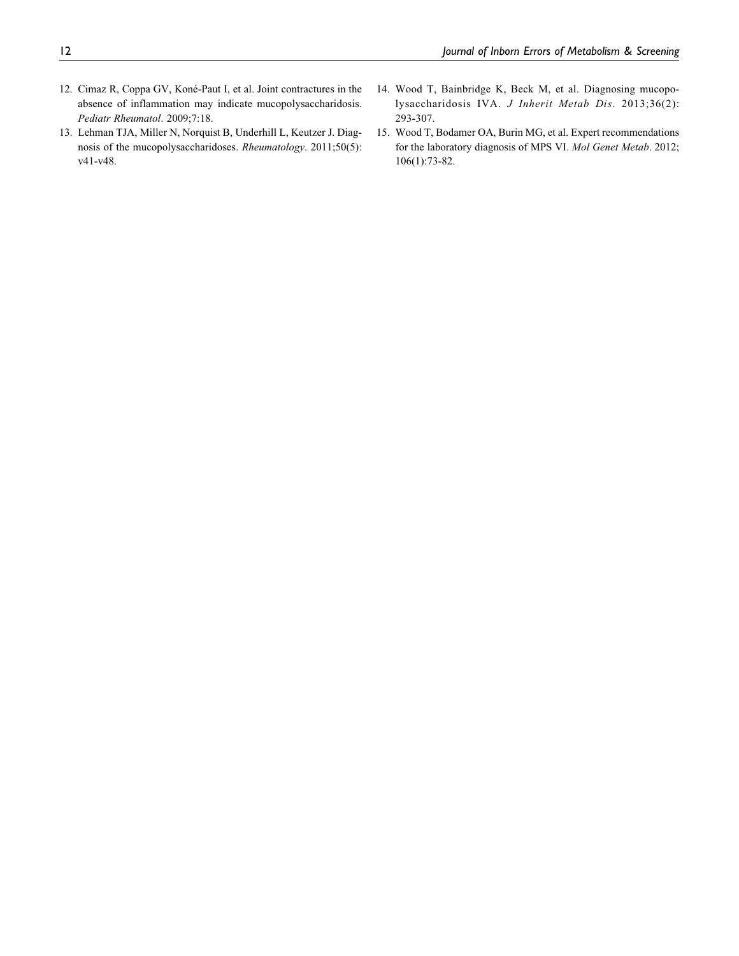- 12. Cimaz R, Coppa GV, Koné-Paut I, et al. Joint contractures in the absence of inflammation may indicate mucopolysaccharidosis. Pediatr Rheumatol. 2009;7:18.
- 13. Lehman TJA, Miller N, Norquist B, Underhill L, Keutzer J. Diagnosis of the mucopolysaccharidoses. Rheumatology. 2011;50(5): v41-v48.
- 14. Wood T, Bainbridge K, Beck M, et al. Diagnosing mucopolysaccharidosis IVA. J Inherit Metab Dis. 2013;36(2): 293-307.
- 15. Wood T, Bodamer OA, Burin MG, et al. Expert recommendations for the laboratory diagnosis of MPS VI. Mol Genet Metab. 2012; 106(1):73-82.